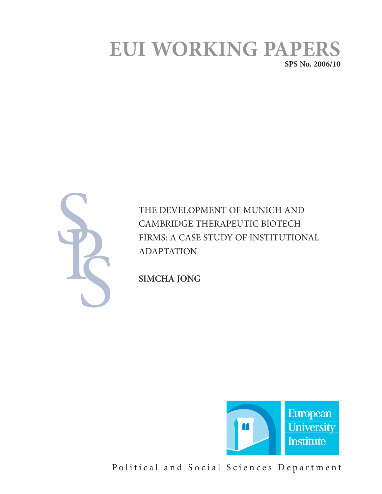# **EUI WORKING PAPERS**

**SPS No. 2006/10**



THE DEVELOPMENT OF MUNICH AND CAMBRIDGE THERAPEUTIC BIOTECH FIRMS: A CASE STUDY OF INSTITUTIONAL ADAPTATION

**SIMCHA JONG** 



Political and Social Sciences Department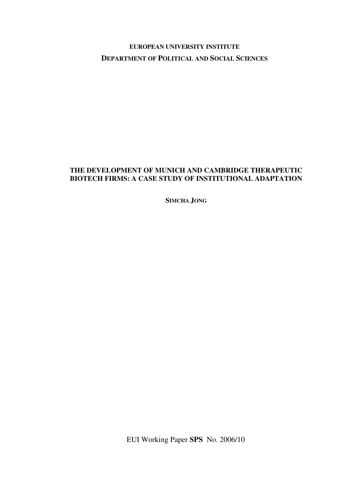# **EUROPEAN UNIVERSITY INSTITUTE DEPARTMENT OF POLITICAL AND SOCIAL SCIENCES**

# **THE DEVELOPMENT OF MUNICH AND CAMBRIDGE THERAPEUTIC BIOTECH FIRMS: A CASE STUDY OF INSTITUTIONAL ADAPTATION**

**SIMCHA JONG**

EUI Working Paper **SPS** No. 2006/10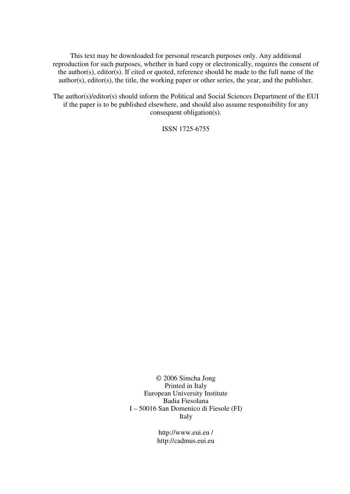This text may be downloaded for personal research purposes only. Any additional reproduction for such purposes, whether in hard copy or electronically, requires the consent of the author(s), editor(s). If cited or quoted, reference should be made to the full name of the author(s), editor(s), the title, the working paper or other series, the year, and the publisher.

The author(s)/editor(s) should inform the Political and Social Sciences Department of the EUI if the paper is to be published elsewhere, and should also assume responsibility for any consequent obligation(s).

ISSN 1725-6755

© 2006 Simcha Jong Printed in Italy European University Institute Badia Fiesolana I – 50016 San Domenico di Fiesole (FI) Italy

> http://www.eui.eu / http://cadmus.eui.eu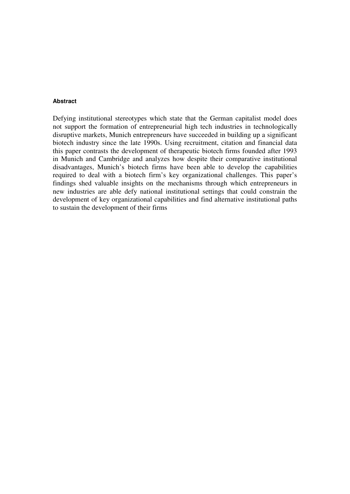## **Abstract**

Defying institutional stereotypes which state that the German capitalist model does not support the formation of entrepreneurial high tech industries in technologically disruptive markets, Munich entrepreneurs have succeeded in building up a significant biotech industry since the late 1990s. Using recruitment, citation and financial data this paper contrasts the development of therapeutic biotech firms founded after 1993 in Munich and Cambridge and analyzes how despite their comparative institutional disadvantages, Munich's biotech firms have been able to develop the capabilities required to deal with a biotech firm's key organizational challenges. This paper's findings shed valuable insights on the mechanisms through which entrepreneurs in new industries are able defy national institutional settings that could constrain the development of key organizational capabilities and find alternative institutional paths to sustain the development of their firms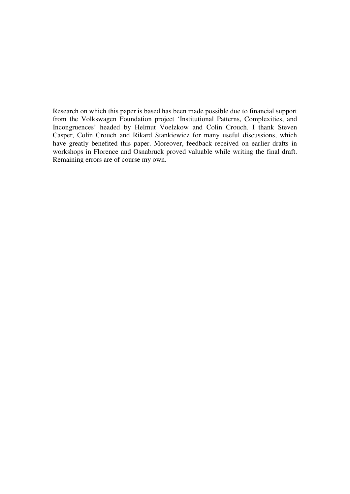Research on which this paper is based has been made possible due to financial support from the Volkswagen Foundation project 'Institutional Patterns, Complexities, and Incongruences' headed by Helmut Voelzkow and Colin Crouch. I thank Steven Casper, Colin Crouch and Rikard Stankiewicz for many useful discussions, which have greatly benefited this paper. Moreover, feedback received on earlier drafts in workshops in Florence and Osnabruck proved valuable while writing the final draft. Remaining errors are of course my own.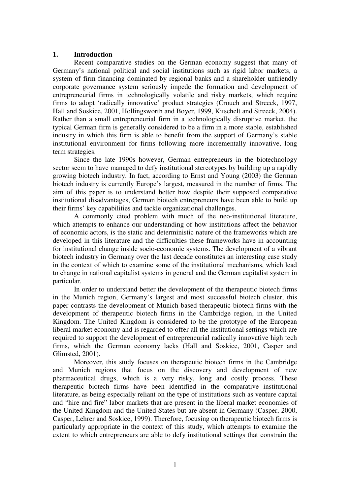# **1. Introduction**

 Recent comparative studies on the German economy suggest that many of Germany's national political and social institutions such as rigid labor markets, a system of firm financing dominated by regional banks and a shareholder unfriendly corporate governance system seriously impede the formation and development of entrepreneurial firms in technologically volatile and risky markets, which require firms to adopt 'radically innovative' product strategies (Crouch and Streeck, 1997, Hall and Soskice, 2001, Hollingsworth and Boyer, 1999, Kitschelt and Streeck, 2004). Rather than a small entrepreneurial firm in a technologically disruptive market, the typical German firm is generally considered to be a firm in a more stable, established industry in which this firm is able to benefit from the support of Germany's stable institutional environment for firms following more incrementally innovative, long term strategies.

 Since the late 1990s however, German entrepreneurs in the biotechnology sector seem to have managed to defy institutional stereotypes by building up a rapidly growing biotech industry. In fact, according to Ernst and Young (2003) the German biotech industry is currently Europe's largest, measured in the number of firms. The aim of this paper is to understand better how despite their supposed comparative institutional disadvantages, German biotech entrepreneurs have been able to build up their firms' key capabilities and tackle organizational challenges.

 A commonly cited problem with much of the neo-institutional literature, which attempts to enhance our understanding of how institutions affect the behavior of economic actors, is the static and deterministic nature of the frameworks which are developed in this literature and the difficulties these frameworks have in accounting for institutional change inside socio-economic systems. The development of a vibrant biotech industry in Germany over the last decade constitutes an interesting case study in the context of which to examine some of the institutional mechanisms, which lead to change in national capitalist systems in general and the German capitalist system in particular.

In order to understand better the development of the therapeutic biotech firms in the Munich region, Germany's largest and most successful biotech cluster, this paper contrasts the development of Munich based therapeutic biotech firms with the development of therapeutic biotech firms in the Cambridge region, in the United Kingdom. The United Kingdom is considered to be the prototype of the European liberal market economy and is regarded to offer all the institutional settings which are required to support the development of entrepreneurial radically innovative high tech firms, which the German economy lacks (Hall and Soskice, 2001, Casper and Glimsted, 2001).

Moreover, this study focuses on therapeutic biotech firms in the Cambridge and Munich regions that focus on the discovery and development of new pharmaceutical drugs, which is a very risky, long and costly process. These therapeutic biotech firms have been identified in the comparative institutional literature, as being especially reliant on the type of institutions such as venture capital and "hire and fire" labor markets that are present in the liberal market economies of the United Kingdom and the United States but are absent in Germany (Casper, 2000, Casper, Lehrer and Soskice, 1999). Therefore, focusing on therapeutic biotech firms is particularly appropriate in the context of this study, which attempts to examine the extent to which entrepreneurs are able to defy institutional settings that constrain the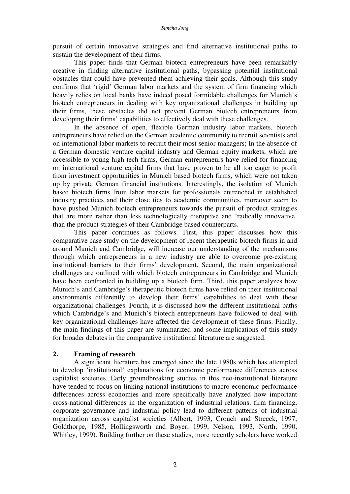pursuit of certain innovative strategies and find alternative institutional paths to sustain the development of their firms.

This paper finds that German biotech entrepreneurs have been remarkably creative in finding alternative institutional paths, bypassing potential institutional obstacles that could have prevented them achieving their goals. Although this study confirms that 'rigid' German labor markets and the system of firm financing which heavily relies on local banks have indeed posed formidable challenges for Munich's biotech entrepreneurs in dealing with key organizational challenges in building up their firms, these obstacles did not prevent German biotech entrepreneurs from developing their firms' capabilities to effectively deal with these challenges.

In the absence of open, flexible German industry labor markets, biotech entrepreneurs have relied on the German academic community to recruit scientists and on international labor markets to recruit their most senior managers; In the absence of a German domestic venture capital industry and German equity markets, which are accessible to young high tech firms, German entrepreneurs have relied for financing on international venture capital firms that have proven to be all too eager to profit from investment opportunities in Munich based biotech firms, which were not taken up by private German financial institutions. Interestingly, the isolation of Munich based biotech firms from labor markets for professionals entrenched in established industry practices and their close ties to academic communities, moreover seem to have pushed Munich biotech entrepreneurs towards the pursuit of product strategies that are more rather than less technologically disruptive and 'radically innovative' than the product strategies of their Cambridge based counterparts.

This paper continues as follows. First, this paper discusses how this comparative case study on the development of recent therapeutic biotech firms in and around Munich and Cambridge, will increase our understanding of the mechanisms through which entrepreneurs in a new industry are able to overcome pre-existing institutional barriers to their firms' development. Second, the main organizational challenges are outlined with which biotech entrepreneurs in Cambridge and Munich have been confronted in building up a biotech firm. Third, this paper analyzes how Munich's and Cambridge's therapeutic biotech firms have relied on their institutional environments differently to develop their firms' capabilities to deal with these organizational challenges. Fourth, it is discussed how the different institutional paths which Cambridge's and Munich's biotech entrepreneurs have followed to deal with key organizational challenges have affected the development of these firms. Finally, the main findings of this paper are summarized and some implications of this study for broader debates in the comparative institutional literature are suggested.

# **2. Framing of research**

A significant literature has emerged since the late 1980s which has attempted to develop 'institutional' explanations for economic performance differences across capitalist societies. Early groundbreaking studies in this neo-institutional literature have tended to focus on linking national institutions to macro-economic performance differences across economies and more specifically have analyzed how important cross-national differences in the organization of industrial relations, firm financing, corporate governance and industrial policy lead to different patterns of industrial organization across capitalist societies (Albert, 1993, Crouch and Streeck, 1997, Goldthorpe, 1985, Hollingsworth and Boyer, 1999, Nelson, 1993, North, 1990, Whitley, 1999). Building further on these studies, more recently scholars have worked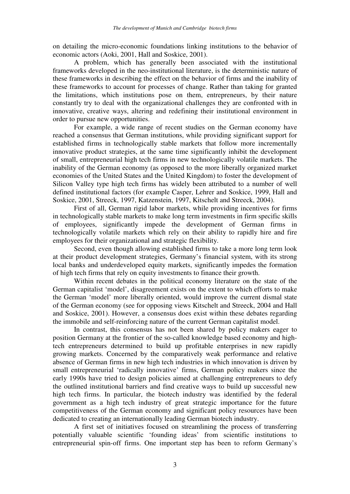on detailing the micro-economic foundations linking institutions to the behavior of economic actors (Aoki, 2001, Hall and Soskice, 2001).

A problem, which has generally been associated with the institutional frameworks developed in the neo-institutional literature, is the deterministic nature of these frameworks in describing the effect on the behavior of firms and the inability of these frameworks to account for processes of change. Rather than taking for granted the limitations, which institutions pose on them, entrepreneurs, by their nature constantly try to deal with the organizational challenges they are confronted with in innovative, creative ways, altering and redefining their institutional environment in order to pursue new opportunities.

For example, a wide range of recent studies on the German economy have reached a consensus that German institutions, while providing significant support for established firms in technologically stable markets that follow more incrementally innovative product strategies, at the same time significantly inhibit the development of small, entrepreneurial high tech firms in new technologically volatile markets. The inability of the German economy (as opposed to the more liberally organized market economies of the United States and the United Kingdom) to foster the development of Silicon Valley type high tech firms has widely been attributed to a number of well defined institutional factors (for example Casper, Lehrer and Soskice, 1999, Hall and Soskice, 2001, Streeck, 1997, Katzenstein, 1997, Kitschelt and Streeck, 2004).

First of all, German rigid labor markets, while providing incentives for firms in technologically stable markets to make long term investments in firm specific skills of employees, significantly impede the development of German firms in technologically volatile markets which rely on their ability to rapidly hire and fire employees for their organizational and strategic flexibility.

Second, even though allowing established firms to take a more long term look at their product development strategies, Germany's financial system, with its strong local banks and underdeveloped equity markets, significantly impedes the formation of high tech firms that rely on equity investments to finance their growth.

Within recent debates in the political economy literature on the state of the German capitalist 'model', disagreement exists on the extent to which efforts to make the German 'model' more liberally oriented, would improve the current dismal state of the German economy (see for opposing views Kitschelt and Streeck, 2004 and Hall and Soskice, 2001). However, a consensus does exist within these debates regarding the immobile and self-reinforcing nature of the current German capitalist model.

In contrast, this consensus has not been shared by policy makers eager to position Germany at the frontier of the so-called knowledge based economy and hightech entrepreneurs determined to build up profitable enterprises in new rapidly growing markets. Concerned by the comparatively weak performance and relative absence of German firms in new high tech industries in which innovation is driven by small entrepreneurial 'radically innovative' firms, German policy makers since the early 1990s have tried to design policies aimed at challenging entrepreneurs to defy the outlined institutional barriers and find creative ways to build up successful new high tech firms. In particular, the biotech industry was identified by the federal government as a high tech industry of great strategic importance for the future competitiveness of the German economy and significant policy resources have been dedicated to creating an internationally leading German biotech industry.

A first set of initiatives focused on streamlining the process of transferring potentially valuable scientific 'founding ideas' from scientific institutions to entrepreneurial spin-off firms. One important step has been to reform Germany's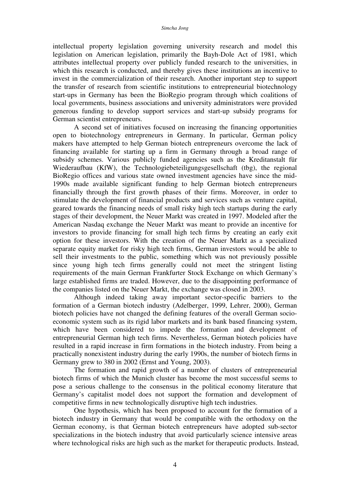intellectual property legislation governing university research and model this legislation on American legislation, primarily the Bayh-Dole Act of 1981, which attributes intellectual property over publicly funded research to the universities, in which this research is conducted, and thereby gives these institutions an incentive to invest in the commercialization of their research. Another important step to support the transfer of research from scientific institutions to entrepreneurial biotechnology start-ups in Germany has been the BioRegio program through which coalitions of local governments, business associations and university administrators were provided generous funding to develop support services and start-up subsidy programs for German scientist entrepreneurs.

A second set of initiatives focused on increasing the financing opportunities open to biotechnology entrepreneurs in Germany. In particular, German policy makers have attempted to help German biotech entrepreneurs overcome the lack of financing available for starting up a firm in Germany through a broad range of subsidy schemes. Various publicly funded agencies such as the Kreditanstalt für Wiederaufbau (KfW), the Technologiebeteiligungsgesellschaft (tbg), the regional BioRegio offices and various state owned investment agencies have since the mid-1990s made available significant funding to help German biotech entrepreneurs financially through the first growth phases of their firms. Moreover, in order to stimulate the development of financial products and services such as venture capital, geared towards the financing needs of small risky high tech startups during the early stages of their development, the Neuer Markt was created in 1997. Modeled after the American Nasdaq exchange the Neuer Markt was meant to provide an incentive for investors to provide financing for small high tech firms by creating an early exit option for these investors. With the creation of the Neuer Markt as a specialized separate equity market for risky high tech firms, German investors would be able to sell their investments to the public, something which was not previously possible since young high tech firms generally could not meet the stringent listing requirements of the main German Frankfurter Stock Exchange on which Germany's large established firms are traded. However, due to the disappointing performance of the companies listed on the Neuer Markt, the exchange was closed in 2003.

Although indeed taking away important sector-specific barriers to the formation of a German biotech industry (Adelberger, 1999, Lehrer, 2000), German biotech policies have not changed the defining features of the overall German socioeconomic system such as its rigid labor markets and its bank based financing system, which have been considered to impede the formation and development of entrepreneurial German high tech firms. Nevertheless, German biotech policies have resulted in a rapid increase in firm formations in the biotech industry. From being a practically nonexistent industry during the early 1990s, the number of biotech firms in Germany grew to 380 in 2002 (Ernst and Young, 2003).

 The formation and rapid growth of a number of clusters of entrepreneurial biotech firms of which the Munich cluster has become the most successful seems to pose a serious challenge to the consensus in the political economy literature that Germany's capitalist model does not support the formation and development of competitive firms in new technologically disruptive high tech industries.

One hypothesis, which has been proposed to account for the formation of a biotech industry in Germany that would be compatible with the orthodoxy on the German economy, is that German biotech entrepreneurs have adopted sub-sector specializations in the biotech industry that avoid particularly science intensive areas where technological risks are high such as the market for therapeutic products. Instead,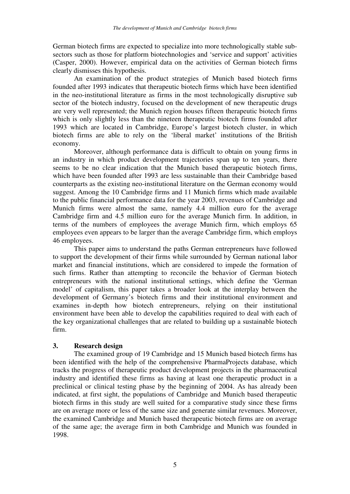German biotech firms are expected to specialize into more technologically stable subsectors such as those for platform biotechnologies and 'service and support' activities (Casper, 2000). However, empirical data on the activities of German biotech firms clearly dismisses this hypothesis.

An examination of the product strategies of Munich based biotech firms founded after 1993 indicates that therapeutic biotech firms which have been identified in the neo-institutional literature as firms in the most technologically disruptive sub sector of the biotech industry, focused on the development of new therapeutic drugs are very well represented; the Munich region houses fifteen therapeutic biotech firms which is only slightly less than the nineteen therapeutic biotech firms founded after 1993 which are located in Cambridge, Europe's largest biotech cluster, in which biotech firms are able to rely on the 'liberal market' institutions of the British economy.

Moreover, although performance data is difficult to obtain on young firms in an industry in which product development trajectories span up to ten years, there seems to be no clear indication that the Munich based therapeutic biotech firms, which have been founded after 1993 are less sustainable than their Cambridge based counterparts as the existing neo-institutional literature on the German economy would suggest. Among the 10 Cambridge firms and 11 Munich firms which made available to the public financial performance data for the year 2003, revenues of Cambridge and Munich firms were almost the same, namely 4.4 million euro for the average Cambridge firm and 4.5 million euro for the average Munich firm. In addition, in terms of the numbers of employees the average Munich firm, which employs 65 employees even appears to be larger than the average Cambridge firm, which employs 46 employees.

This paper aims to understand the paths German entrepreneurs have followed to support the development of their firms while surrounded by German national labor market and financial institutions, which are considered to impede the formation of such firms. Rather than attempting to reconcile the behavior of German biotech entrepreneurs with the national institutional settings, which define the 'German model' of capitalism, this paper takes a broader look at the interplay between the development of Germany's biotech firms and their institutional environment and examines in-depth how biotech entrepreneurs, relying on their institutional environment have been able to develop the capabilities required to deal with each of the key organizational challenges that are related to building up a sustainable biotech firm.

## **3. Research design**

The examined group of 19 Cambridge and 15 Munich based biotech firms has been identified with the help of the comprehensive PharmaProjects database, which tracks the progress of therapeutic product development projects in the pharmaceutical industry and identified these firms as having at least one therapeutic product in a preclinical or clinical testing phase by the beginning of 2004. As has already been indicated, at first sight, the populations of Cambridge and Munich based therapeutic biotech firms in this study are well suited for a comparative study since these firms are on average more or less of the same size and generate similar revenues. Moreover, the examined Cambridge and Munich based therapeutic biotech firms are on average of the same age; the average firm in both Cambridge and Munich was founded in 1998.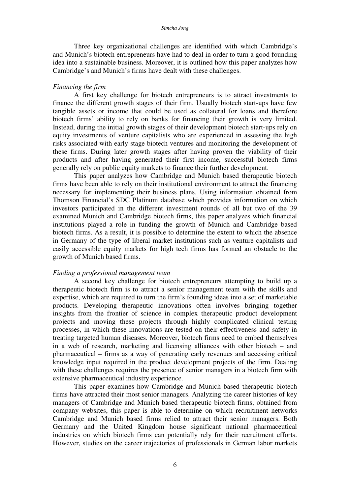Three key organizational challenges are identified with which Cambridge's and Munich's biotech entrepreneurs have had to deal in order to turn a good founding idea into a sustainable business. Moreover, it is outlined how this paper analyzes how Cambridge's and Munich's firms have dealt with these challenges.

#### *Financing the firm*

A first key challenge for biotech entrepreneurs is to attract investments to finance the different growth stages of their firm. Usually biotech start-ups have few tangible assets or income that could be used as collateral for loans and therefore biotech firms' ability to rely on banks for financing their growth is very limited. Instead, during the initial growth stages of their development biotech start-ups rely on equity investments of venture capitalists who are experienced in assessing the high risks associated with early stage biotech ventures and monitoring the development of these firms. During later growth stages after having proven the viability of their products and after having generated their first income, successful biotech firms generally rely on public equity markets to finance their further development.

This paper analyzes how Cambridge and Munich based therapeutic biotech firms have been able to rely on their institutional environment to attract the financing necessary for implementing their business plans. Using information obtained from Thomson Financial's SDC Platinum database which provides information on which investors participated in the different investment rounds of all but two of the 39 examined Munich and Cambridge biotech firms, this paper analyzes which financial institutions played a role in funding the growth of Munich and Cambridge based biotech firms. As a result, it is possible to determine the extent to which the absence in Germany of the type of liberal market institutions such as venture capitalists and easily accessible equity markets for high tech firms has formed an obstacle to the growth of Munich based firms.

#### *Finding a professional management team*

A second key challenge for biotech entrepreneurs attempting to build up a therapeutic biotech firm is to attract a senior management team with the skills and expertise, which are required to turn the firm's founding ideas into a set of marketable products. Developing therapeutic innovations often involves bringing together insights from the frontier of science in complex therapeutic product development projects and moving these projects through highly complicated clinical testing processes, in which these innovations are tested on their effectiveness and safety in treating targeted human diseases. Moreover, biotech firms need to embed themselves in a web of research, marketing and licensing alliances with other biotech – and pharmaceutical – firms as a way of generating early revenues and accessing critical knowledge input required in the product development projects of the firm. Dealing with these challenges requires the presence of senior managers in a biotech firm with extensive pharmaceutical industry experience.

This paper examines how Cambridge and Munich based therapeutic biotech firms have attracted their most senior managers. Analyzing the career histories of key managers of Cambridge and Munich based therapeutic biotech firms, obtained from company websites, this paper is able to determine on which recruitment networks Cambridge and Munich based firms relied to attract their senior managers. Both Germany and the United Kingdom house significant national pharmaceutical industries on which biotech firms can potentially rely for their recruitment efforts. However, studies on the career trajectories of professionals in German labor markets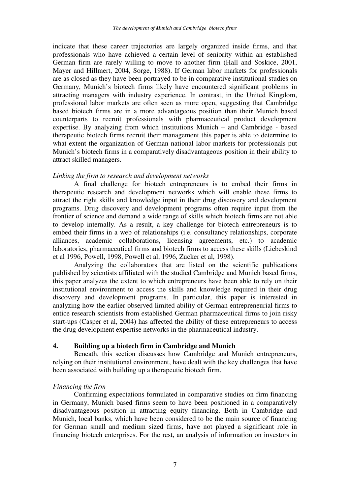indicate that these career trajectories are largely organized inside firms, and that professionals who have achieved a certain level of seniority within an established German firm are rarely willing to move to another firm (Hall and Soskice, 2001, Mayer and Hillmert, 2004, Sorge, 1988). If German labor markets for professionals are as closed as they have been portrayed to be in comparative institutional studies on Germany, Munich's biotech firms likely have encountered significant problems in attracting managers with industry experience. In contrast, in the United Kingdom, professional labor markets are often seen as more open, suggesting that Cambridge based biotech firms are in a more advantageous position than their Munich based counterparts to recruit professionals with pharmaceutical product development expertise. By analyzing from which institutions Munich – and Cambridge - based therapeutic biotech firms recruit their management this paper is able to determine to what extent the organization of German national labor markets for professionals put Munich's biotech firms in a comparatively disadvantageous position in their ability to attract skilled managers.

## *Linking the firm to research and development networks*

A final challenge for biotech entrepreneurs is to embed their firms in therapeutic research and development networks which will enable these firms to attract the right skills and knowledge input in their drug discovery and development programs. Drug discovery and development programs often require input from the frontier of science and demand a wide range of skills which biotech firms are not able to develop internally. As a result, a key challenge for biotech entrepreneurs is to embed their firms in a web of relationships (i.e. consultancy relationships, corporate alliances, academic collaborations, licensing agreements, etc.) to academic laboratories, pharmaceutical firms and biotech firms to access these skills (Liebeskind et al 1996, Powell, 1998, Powell et al, 1996, Zucker et al, 1998).

Analyzing the collaborators that are listed on the scientific publications published by scientists affiliated with the studied Cambridge and Munich based firms, this paper analyzes the extent to which entrepreneurs have been able to rely on their institutional environment to access the skills and knowledge required in their drug discovery and development programs. In particular, this paper is interested in analyzing how the earlier observed limited ability of German entrepreneurial firms to entice research scientists from established German pharmaceutical firms to join risky start-ups (Casper et al, 2004) has affected the ability of these entrepreneurs to access the drug development expertise networks in the pharmaceutical industry.

## **4. Building up a biotech firm in Cambridge and Munich**

Beneath, this section discusses how Cambridge and Munich entrepreneurs, relying on their institutional environment, have dealt with the key challenges that have been associated with building up a therapeutic biotech firm.

# *Financing the firm*

Confirming expectations formulated in comparative studies on firm financing in Germany, Munich based firms seem to have been positioned in a comparatively disadvantageous position in attracting equity financing. Both in Cambridge and Munich, local banks, which have been considered to be the main source of financing for German small and medium sized firms, have not played a significant role in financing biotech enterprises. For the rest, an analysis of information on investors in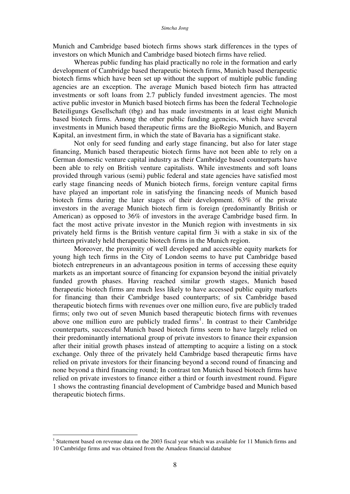Munich and Cambridge based biotech firms shows stark differences in the types of investors on which Munich and Cambridge based biotech firms have relied.

Whereas public funding has plaid practically no role in the formation and early development of Cambridge based therapeutic biotech firms, Munich based therapeutic biotech firms which have been set up without the support of multiple public funding agencies are an exception. The average Munich based biotech firm has attracted investments or soft loans from 2.7 publicly funded investment agencies. The most active public investor in Munich based biotech firms has been the federal Technologie Beteiligungs Gesellschaft (tbg) and has made investments in at least eight Munich based biotech firms. Among the other public funding agencies, which have several investments in Munich based therapeutic firms are the BioRegio Munich, and Bayern Kapital, an investment firm, in which the state of Bavaria has a significant stake.

Not only for seed funding and early stage financing, but also for later stage financing, Munich based therapeutic biotech firms have not been able to rely on a German domestic venture capital industry as their Cambridge based counterparts have been able to rely on British venture capitalists. While investments and soft loans provided through various (semi) public federal and state agencies have satisfied most early stage financing needs of Munich biotech firms, foreign venture capital firms have played an important role in satisfying the financing needs of Munich based biotech firms during the later stages of their development. 63% of the private investors in the average Munich biotech firm is foreign (predominantly British or American) as opposed to 36% of investors in the average Cambridge based firm. In fact the most active private investor in the Munich region with investments in six privately held firms is the British venture capital firm 3i with a stake in six of the thirteen privately held therapeutic biotech firms in the Munich region.

Moreover, the proximity of well developed and accessible equity markets for young high tech firms in the City of London seems to have put Cambridge based biotech entrepreneurs in an advantageous position in terms of accessing these equity markets as an important source of financing for expansion beyond the initial privately funded growth phases. Having reached similar growth stages, Munich based therapeutic biotech firms are much less likely to have accessed public equity markets for financing than their Cambridge based counterparts; of six Cambridge based therapeutic biotech firms with revenues over one million euro, five are publicly traded firms; only two out of seven Munich based therapeutic biotech firms with revenues above one million euro are publicly traded firms<sup>1</sup>. In contrast to their Cambridge counterparts, successful Munich based biotech firms seem to have largely relied on their predominantly international group of private investors to finance their expansion after their initial growth phases instead of attempting to acquire a listing on a stock exchange. Only three of the privately held Cambridge based therapeutic firms have relied on private investors for their financing beyond a second round of financing and none beyond a third financing round; In contrast ten Munich based biotech firms have relied on private investors to finance either a third or fourth investment round. Figure 1 shows the contrasting financial development of Cambridge based and Munich based therapeutic biotech firms.

 $\overline{a}$ 

<sup>&</sup>lt;sup>1</sup> Statement based on revenue data on the 2003 fiscal year which was available for 11 Munich firms and 10 Cambridge firms and was obtained from the Amadeus financial database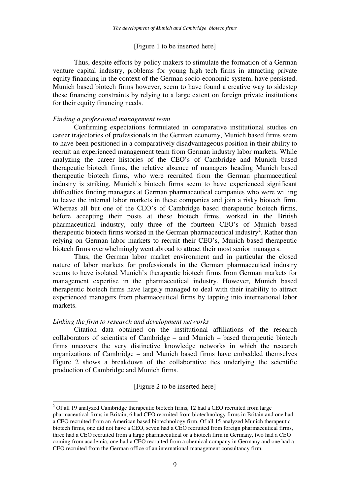## [Figure 1 to be inserted here]

Thus, despite efforts by policy makers to stimulate the formation of a German venture capital industry, problems for young high tech firms in attracting private equity financing in the context of the German socio-economic system, have persisted. Munich based biotech firms however, seem to have found a creative way to sidestep these financing constraints by relying to a large extent on foreign private institutions for their equity financing needs.

# *Finding a professional management team*

Confirming expectations formulated in comparative institutional studies on career trajectories of professionals in the German economy, Munich based firms seem to have been positioned in a comparatively disadvantageous position in their ability to recruit an experienced management team from German industry labor markets. While analyzing the career histories of the CEO's of Cambridge and Munich based therapeutic biotech firms, the relative absence of managers heading Munich based therapeutic biotech firms, who were recruited from the German pharmaceutical industry is striking. Munich's biotech firms seem to have experienced significant difficulties finding managers at German pharmaceutical companies who were willing to leave the internal labor markets in these companies and join a risky biotech firm. Whereas all but one of the CEO's of Cambridge based therapeutic biotech firms, before accepting their posts at these biotech firms, worked in the British pharmaceutical industry, only three of the fourteen CEO's of Munich based therapeutic biotech firms worked in the German pharmaceutical industry<sup>2</sup>. Rather than relying on German labor markets to recruit their CEO's, Munich based therapeutic biotech firms overwhelmingly went abroad to attract their most senior managers.

Thus, the German labor market environment and in particular the closed nature of labor markets for professionals in the German pharmaceutical industry seems to have isolated Munich's therapeutic biotech firms from German markets for management expertise in the pharmaceutical industry. However, Munich based therapeutic biotech firms have largely managed to deal with their inability to attract experienced managers from pharmaceutical firms by tapping into international labor markets.

## *Linking the firm to research and development networks*

 $\overline{a}$ 

Citation data obtained on the institutional affiliations of the research collaborators of scientists of Cambridge – and Munich – based therapeutic biotech firms uncovers the very distinctive knowledge networks in which the research organizations of Cambridge – and Munich based firms have embedded themselves Figure 2 shows a breakdown of the collaborative ties underlying the scientific production of Cambridge and Munich firms.

[Figure 2 to be inserted here]

 $2$  Of all 19 analyzed Cambridge therapeutic biotech firms, 12 had a CEO recruited from large pharmaceutical firms in Britain, 6 had CEO recruited from biotechnology firms in Britain and one had a CEO recruited from an American based biotechnology firm. Of all 15 analyzed Munich therapeutic biotech firms, one did not have a CEO, seven had a CEO recruited from foreign pharmaceutical firms, three had a CEO recruited from a large pharmaceutical or a biotech firm in Germany, two had a CEO coming from academia, one had a CEO recruited from a chemical company in Germany and one had a CEO recruited from the German office of an international management consultancy firm.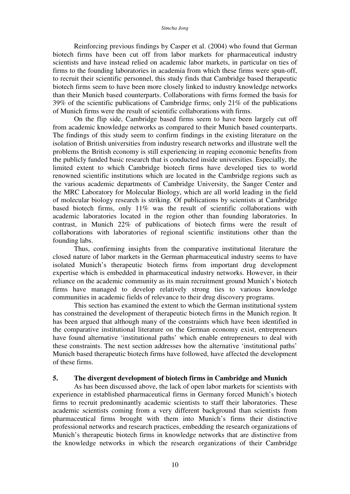Reinforcing previous findings by Casper et al. (2004) who found that German biotech firms have been cut off from labor markets for pharmaceutical industry scientists and have instead relied on academic labor markets, in particular on ties of firms to the founding laboratories in academia from which these firms were spun-off, to recruit their scientific personnel, this study finds that Cambridge based therapeutic biotech firms seem to have been more closely linked to industry knowledge networks than their Munich based counterparts. Collaborations with firms formed the basis for 39% of the scientific publications of Cambridge firms; only 21% of the publications of Munich firms were the result of scientific collaborations with firms.

On the flip side, Cambridge based firms seem to have been largely cut off from academic knowledge networks as compared to their Munich based counterparts. The findings of this study seem to confirm findings in the existing literature on the isolation of British universities from industry research networks and illustrate well the problems the British economy is still experiencing in reaping economic benefits from the publicly funded basic research that is conducted inside universities. Especially, the limited extent to which Cambridge biotech firms have developed ties to world renowned scientific institutions which are located in the Cambridge regions such as the various academic departments of Cambridge University, the Sanger Center and the MRC Laboratory for Molecular Biology, which are all world leading in the field of molecular biology research is striking. Of publications by scientists at Cambridge based biotech firms, only 11% was the result of scientific collaborations with academic laboratories located in the region other than founding laboratories. In contrast, in Munich 22% of publications of biotech firms were the result of collaborations with laboratories of regional scientific institutions other than the founding labs.

Thus, confirming insights from the comparative institutional literature the closed nature of labor markets in the German pharmaceutical industry seems to have isolated Munich's therapeutic biotech firms from important drug development expertise which is embedded in pharmaceutical industry networks. However, in their reliance on the academic community as its main recruitment ground Munich's biotech firms have managed to develop relatively strong ties to various knowledge communities in academic fields of relevance to their drug discovery programs.

This section has examined the extent to which the German institutional system has constrained the development of therapeutic biotech firms in the Munich region. It has been argued that although many of the constraints which have been identified in the comparative institutional literature on the German economy exist, entrepreneurs have found alternative 'institutional paths' which enable entrepreneurs to deal with these constraints. The next section addresses how the alternative 'institutional paths' Munich based therapeutic biotech firms have followed, have affected the development of these firms.

# **5. The divergent development of biotech firms in Cambridge and Munich**

As has been discussed above, the lack of open labor markets for scientists with experience in established pharmaceutical firms in Germany forced Munich's biotech firms to recruit predominantly academic scientists to staff their laboratories. These academic scientists coming from a very different background than scientists from pharmaceutical firms brought with them into Munich's firms their distinctive professional networks and research practices, embedding the research organizations of Munich's therapeutic biotech firms in knowledge networks that are distinctive from the knowledge networks in which the research organizations of their Cambridge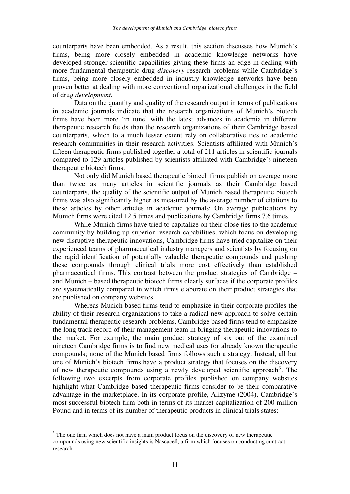counterparts have been embedded. As a result, this section discusses how Munich's firms, being more closely embedded in academic knowledge networks have developed stronger scientific capabilities giving these firms an edge in dealing with more fundamental therapeutic drug *discovery* research problems while Cambridge's firms, being more closely embedded in industry knowledge networks have been proven better at dealing with more conventional organizational challenges in the field of drug *development*.

Data on the quantity and quality of the research output in terms of publications in academic journals indicate that the research organizations of Munich's biotech firms have been more 'in tune' with the latest advances in academia in different therapeutic research fields than the research organizations of their Cambridge based counterparts, which to a much lesser extent rely on collaborative ties to academic research communities in their research activities. Scientists affiliated with Munich's fifteen therapeutic firms published together a total of 211 articles in scientific journals compared to 129 articles published by scientists affiliated with Cambridge's nineteen therapeutic biotech firms.

Not only did Munich based therapeutic biotech firms publish on average more than twice as many articles in scientific journals as their Cambridge based counterparts, the quality of the scientific output of Munich based therapeutic biotech firms was also significantly higher as measured by the average number of citations to these articles by other articles in academic journals; On average publications by Munich firms were cited 12.5 times and publications by Cambridge firms 7.6 times.

While Munich firms have tried to capitalize on their close ties to the academic community by building up superior research capabilities, which focus on developing new disruptive therapeutic innovations, Cambridge firms have tried capitalize on their experienced teams of pharmaceutical industry managers and scientists by focusing on the rapid identification of potentially valuable therapeutic compounds and pushing these compounds through clinical trials more cost effectively than established pharmaceutical firms. This contrast between the product strategies of Cambridge – and Munich – based therapeutic biotech firms clearly surfaces if the corporate profiles are systematically compared in which firms elaborate on their product strategies that are published on company websites.

Whereas Munich based firms tend to emphasize in their corporate profiles the ability of their research organizations to take a radical new approach to solve certain fundamental therapeutic research problems, Cambridge based firms tend to emphasize the long track record of their management team in bringing therapeutic innovations to the market. For example, the main product strategy of six out of the examined nineteen Cambridge firms is to find new medical uses for already known therapeutic compounds; none of the Munich based firms follows such a strategy. Instead, all but one of Munich's biotech firms have a product strategy that focuses on the discovery of new therapeutic compounds using a newly developed scientific approach<sup>3</sup>. The following two excerpts from corporate profiles published on company websites highlight what Cambridge based therapeutic firms consider to be their comparative advantage in the marketplace. In its corporate profile, Alizyme (2004), Cambridge's most successful biotech firm both in terms of its market capitalization of 200 million Pound and in terms of its number of therapeutic products in clinical trials states:

 $\overline{a}$ 

 $3$  The one firm which does not have a main product focus on the discovery of new therapeutic compounds using new scientific insights is Nascacell, a firm which focuses on conducting contract research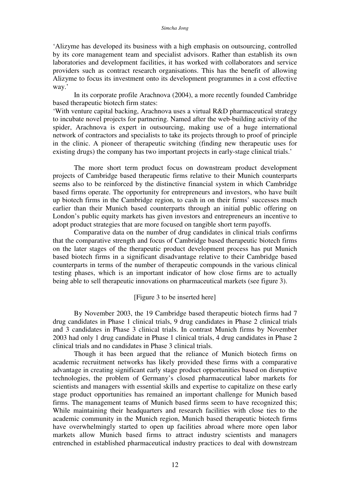#### *Simcha Jong*

'Alizyme has developed its business with a high emphasis on outsourcing, controlled by its core management team and specialist advisors. Rather than establish its own laboratories and development facilities, it has worked with collaborators and service providers such as contract research organisations. This has the benefit of allowing Alizyme to focus its investment onto its development programmes in a cost effective way.'

In its corporate profile Arachnova (2004), a more recently founded Cambridge based therapeutic biotech firm states:

'With venture capital backing, Arachnova uses a virtual R&D pharmaceutical strategy to incubate novel projects for partnering. Named after the web-building activity of the spider, Arachnova is expert in outsourcing, making use of a huge international network of contractors and specialists to take its projects through to proof of principle in the clinic. A pioneer of therapeutic switching (finding new therapeutic uses for existing drugs) the company has two important projects in early-stage clinical trials.'

The more short term product focus on downstream product development projects of Cambridge based therapeutic firms relative to their Munich counterparts seems also to be reinforced by the distinctive financial system in which Cambridge based firms operate. The opportunity for entrepreneurs and investors, who have built up biotech firms in the Cambridge region, to cash in on their firms' successes much earlier than their Munich based counterparts through an initial public offering on London's public equity markets has given investors and entrepreneurs an incentive to adopt product strategies that are more focused on tangible short term payoffs.

Comparative data on the number of drug candidates in clinical trials confirms that the comparative strength and focus of Cambridge based therapeutic biotech firms on the later stages of the therapeutic product development process has put Munich based biotech firms in a significant disadvantage relative to their Cambridge based counterparts in terms of the number of therapeutic compounds in the various clinical testing phases, which is an important indicator of how close firms are to actually being able to sell therapeutic innovations on pharmaceutical markets (see figure 3).

# [Figure 3 to be inserted here]

By November 2003, the 19 Cambridge based therapeutic biotech firms had 7 drug candidates in Phase 1 clinical trials, 9 drug candidates in Phase 2 clinical trials and 3 candidates in Phase 3 clinical trials. In contrast Munich firms by November 2003 had only 1 drug candidate in Phase 1 clinical trials, 4 drug candidates in Phase 2 clinical trials and no candidates in Phase 3 clinical trials.

 Though it has been argued that the reliance of Munich biotech firms on academic recruitment networks has likely provided these firms with a comparative advantage in creating significant early stage product opportunities based on disruptive technologies, the problem of Germany's closed pharmaceutical labor markets for scientists and managers with essential skills and expertise to capitalize on these early stage product opportunities has remained an important challenge for Munich based firms. The management teams of Munich based firms seem to have recognized this; While maintaining their headquarters and research facilities with close ties to the academic community in the Munich region, Munich based therapeutic biotech firms have overwhelmingly started to open up facilities abroad where more open labor markets allow Munich based firms to attract industry scientists and managers entrenched in established pharmaceutical industry practices to deal with downstream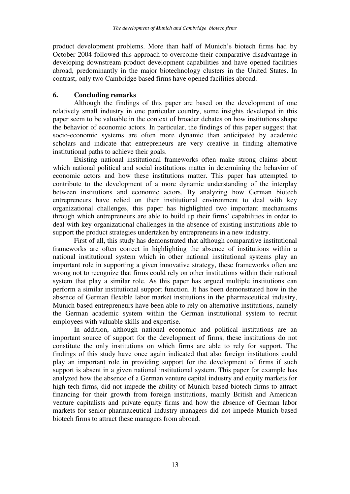product development problems. More than half of Munich's biotech firms had by October 2004 followed this approach to overcome their comparative disadvantage in developing downstream product development capabilities and have opened facilities abroad, predominantly in the major biotechnology clusters in the United States. In contrast, only two Cambridge based firms have opened facilities abroad.

# **6. Concluding remarks**

Although the findings of this paper are based on the development of one relatively small industry in one particular country, some insights developed in this paper seem to be valuable in the context of broader debates on how institutions shape the behavior of economic actors. In particular, the findings of this paper suggest that socio-economic systems are often more dynamic than anticipated by academic scholars and indicate that entrepreneurs are very creative in finding alternative institutional paths to achieve their goals.

Existing national institutional frameworks often make strong claims about which national political and social institutions matter in determining the behavior of economic actors and how these institutions matter. This paper has attempted to contribute to the development of a more dynamic understanding of the interplay between institutions and economic actors. By analyzing how German biotech entrepreneurs have relied on their institutional environment to deal with key organizational challenges, this paper has highlighted two important mechanisms through which entrepreneurs are able to build up their firms' capabilities in order to deal with key organizational challenges in the absence of existing institutions able to support the product strategies undertaken by entrepreneurs in a new industry.

First of all, this study has demonstrated that although comparative institutional frameworks are often correct in highlighting the absence of institutions within a national institutional system which in other national institutional systems play an important role in supporting a given innovative strategy, these frameworks often are wrong not to recognize that firms could rely on other institutions within their national system that play a similar role. As this paper has argued multiple institutions can perform a similar institutional support function. It has been demonstrated how in the absence of German flexible labor market institutions in the pharmaceutical industry, Munich based entrepreneurs have been able to rely on alternative institutions, namely the German academic system within the German institutional system to recruit employees with valuable skills and expertise.

In addition, although national economic and political institutions are an important source of support for the development of firms, these institutions do not constitute the only institutions on which firms are able to rely for support. The findings of this study have once again indicated that also foreign institutions could play an important role in providing support for the development of firms if such support is absent in a given national institutional system. This paper for example has analyzed how the absence of a German venture capital industry and equity markets for high tech firms, did not impede the ability of Munich based biotech firms to attract financing for their growth from foreign institutions, mainly British and American venture capitalists and private equity firms and how the absence of German labor markets for senior pharmaceutical industry managers did not impede Munich based biotech firms to attract these managers from abroad.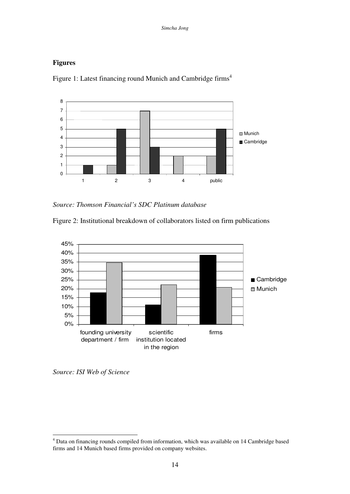# **Figures**



Figure 1: Latest financing round Munich and Cambridge firms<sup>4</sup>

*Source: Thomson Financial's SDC Platinum database* 





*Source: ISI Web of Science*

 4 Data on financing rounds compiled from information, which was available on 14 Cambridge based firms and 14 Munich based firms provided on company websites.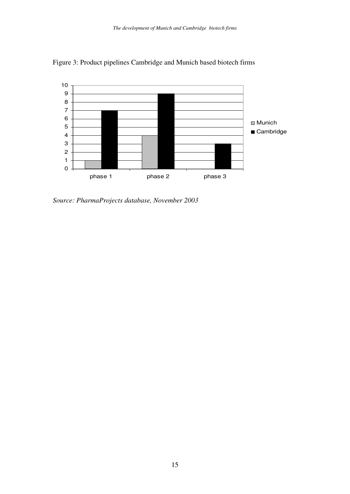

Figure 3: Product pipelines Cambridge and Munich based biotech firms

*Source: PharmaProjects database, November 2003*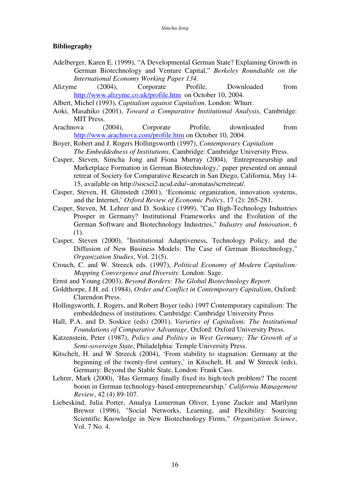# **Bibliography**

- Adelberger, Karen E. (1999), "A Developmental German State? Explaining Growth in German Biotechnology and Venture Capital," *Berkeley Roundtable on the International Economy Working Paper 134.*
- Alizyme (2004), Corporate Profile, Downloaded from http://www.alizyme.co.uk/profile.htm on October 10, 2004.
- Albert, Michel (1993), *Capitalism against Capitalism*. London: Whurr.
- Aoki, Masahiko (2001), *Toward a Comparative Institutional Analysis*, Cambridge: MIT Press.
- Arachnova (2004), Corporate Profile, downloaded from http://www.arachnova.com/profile.htm on October 10, 2004.
- Boyer, Robert and J. Rogers Hollingsworth (1997), *Contemporary Capitalism The Embeddedness of Institutions*, Cambridge: Cambridge University Press.
- Casper, Steven, Simcha Jong and Fiona Murray (2004), 'Entrepreneurship and Marketplace Formation in German Biotechnology,' paper presented on annual retreat of Society for Comparative Research in San Diego, California, May 14- 15, available on http://socsci2.ucsd.edu/~aronatas/scrretreat/.
- Casper, Steven, H. Glimstedt (2001), 'Economic organization, innovation systems, and the Internet,' *Oxford Review of Economic Policy*, 17 (2): 265-281.
- Casper, Steven, M. Lehrer and D. Soskice (1999), "Can High-Technology Industries Prosper in Germany? Institutional Frameworks and the Evolution of the German Software and Biotechnology Industries," *Industry and Innovation*, 6 (1).
- Casper, Steven (2000), "Institutional Adaptiveness, Technology Policy, and the Diffusion of New Business Models: The Case of German Biotechnology," *Organization Studies*, Vol. 21(5).
- Crouch, C. and W. Streeck eds. (1997), *Political Economy of Modern Capitalism: Mapping Convergence and Diversity*. London: Sage.
- Ernst and Young (2003), *Beyond Borders: The Global Biotechnology Report*.
- Goldthorpe, J.H. ed. (1984), *Order and Conflict in Contemporary Capitalism*, Oxford: Clarendon Press.
- Hollingsworth, J. Rogers, and Robert Boyer (eds) 1997 Contemporary capitalism: The embeddedness of institutions. Cambridge: Cambridge University Press
- Hall, P.A. and D. Soskice (eds) (2001), *Varieties of Capitalism: The Institutional Foundations of Comparative Advantage*, Oxford: Oxford University Press.
- Katzenstein, Peter (1987), *Policy and Politics in West Germany: The Growth of a Semi-sovereign State*, Philadelphia: Temple University Press.
- Kitschelt, H. and W Streeck (2004), 'From stability to stagnation: Germany at the beginning of the twenty-first century,' in Kitschelt, H. and W Streeck (eds), Germany: Beyond the Stable State, London: Frank Cass.
- Lehrer, Mark (2000), 'Has Germany finally fixed its high-tech problem? The recent boom in German technology-based entrepreneurship,' *California Management Review*, 42 (4) 89-107.
- Liebeskind, Julia Porter, Amalya Lumerman Oliver, Lynne Zucker and Marilynn Brewer (1996), "Social Networks, Learning, and Flexibility: Sourcing Scientific Knowledge in New Biotechnology Firms," *Organization Science*, Vol. 7 No. 4.